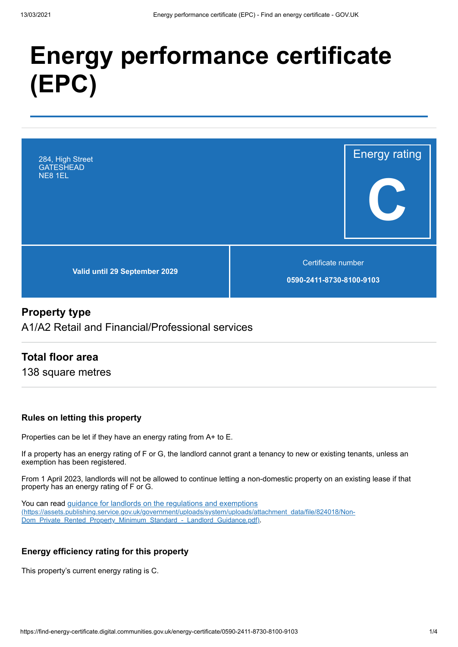# **Energy performance certificate (EPC)**



#### **Property type**

A1/A2 Retail and Financial/Professional services

#### **Total floor area**

138 square metres

#### **Rules on letting this property**

Properties can be let if they have an energy rating from A+ to E.

If a property has an energy rating of F or G, the landlord cannot grant a tenancy to new or existing tenants, unless an exemption has been registered.

From 1 April 2023, landlords will not be allowed to continue letting a non-domestic property on an existing lease if that property has an energy rating of F or G.

You can read guidance for landlords on the regulations and exemptions [\(https://assets.publishing.service.gov.uk/government/uploads/system/uploads/attachment\\_data/file/824018/Non-](https://assets.publishing.service.gov.uk/government/uploads/system/uploads/attachment_data/file/824018/Non-Dom_Private_Rented_Property_Minimum_Standard_-_Landlord_Guidance.pdf)Dom\_Private\_Rented\_Property\_Minimum\_Standard\_-\_Landlord\_Guidance.pdf).

#### **Energy efficiency rating for this property**

This property's current energy rating is C.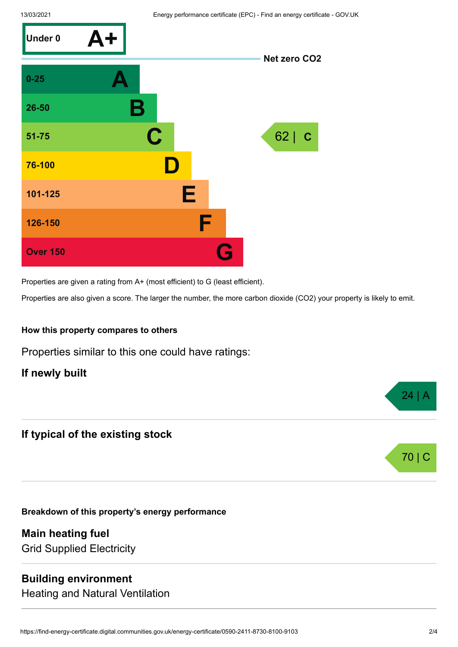

Properties are given a rating from A+ (most efficient) to G (least efficient).

Properties are also given a score. The larger the number, the more carbon dioxide (CO2) your property is likely to emit.

#### **How this property compares to others**

Properties similar to this one could have ratings:

**If newly built**

#### **If typical of the existing stock**

**Breakdown of this property's energy performance**

**Main heating fuel** Grid Supplied Electricity

#### **Building environment**

Heating and Natural Ventilation



 $24$  |  $\mu$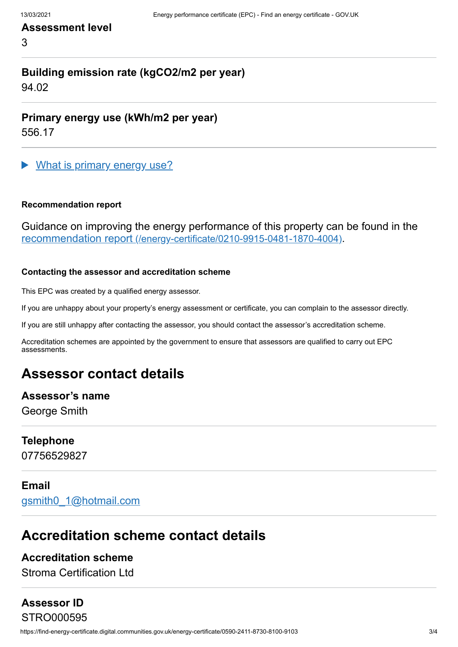#### **Assessment level**

3

## **Building emission rate (kgCO2/m2 per year)**

94.02

**Primary energy use (kWh/m2 per year)**

556.17

What is primary energy use?

#### **Recommendation report**

Guidance on improving the energy performance of this property can be found in the recommendation report [\(/energy-certificate/0210-9915-0481-1870-4004\)](https://find-energy-certificate.digital.communities.gov.uk/energy-certificate/0210-9915-0481-1870-4004).

#### **Contacting the assessor and accreditation scheme**

This EPC was created by a qualified energy assessor.

If you are unhappy about your property's energy assessment or certificate, you can complain to the assessor directly.

If you are still unhappy after contacting the assessor, you should contact the assessor's accreditation scheme.

Accreditation schemes are appointed by the government to ensure that assessors are qualified to carry out EPC assessments.

## **Assessor contact details**

## **Assessor's name**

George Smith

#### **Telephone**

07756529827

#### **Email**

[gsmith0\\_1@hotmail.com](mailto:gsmith0_1@hotmail.com)

## **Accreditation scheme contact details**

#### **Accreditation scheme**

Stroma Certification Ltd

## **Assessor ID**

STRO000595